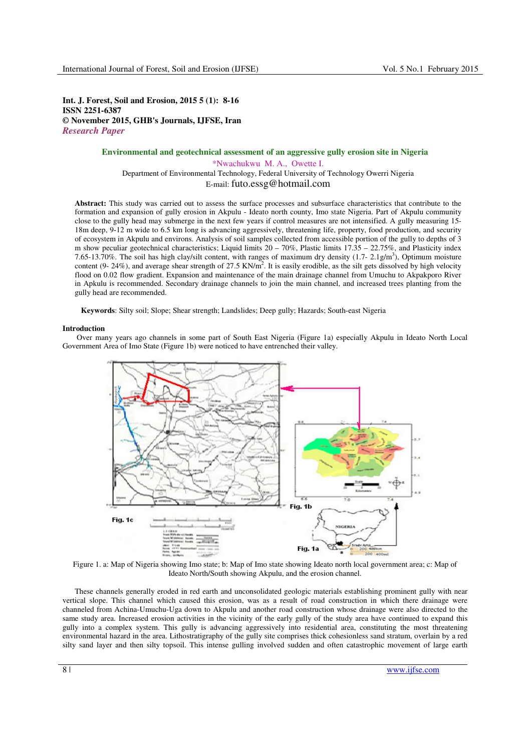**Int. J. Forest, Soil and Erosion, 2015 5 (1): 8-16 ISSN 2251-6387 © November 2015, GHB's Journals, IJFSE, Iran**  *Research Paper* 

## **Environmental and geotechnical assessment of an aggressive gully erosion site in Nigeria**  Nwachukwu M. A., Owette I. (Nigeria) \*Nwachukwu M. A., Owette I. Department of Environmental Technology, Federal University of Technology Owerri Nigeria E-mail: futo.essg@hotmail.com

**Abstract:** This study was carried out to assess the surface processes and subsurface characteristics that contribute to the formation and expansion of gully erosion in Akpulu - Ideato north county, Imo state Nigeria. Part of Akpulu community close to the gully head may submerge in the next few years if control measures are not intensified. A gully measuring 15- 18m deep, 9-12 m wide to 6.5 km long is advancing aggressively, threatening life, property, food production, and security of ecosystem in Akpulu and environs. Analysis of soil samples collected from accessible portion of the gully to depths of 3 m show peculiar geotechnical characteristics; Liquid limits  $20 - 70\%$ , Plastic limits  $17.35 - 22.75\%$ , and Plasticity index 7.65-13.70%. The soil has high clay/silt content, with ranges of maximum dry density  $(1.7 - 2.1g/m<sup>3</sup>)$ , Optimum moisture content (9- 24%), and average shear strength of  $27.5 \text{ KN/m}^2$ . It is easily erodible, as the silt gets dissolved by high velocity flood on 0.02 flow gradient. Expansion and maintenance of the main drainage channel from Umuchu to Akpakporo River in Apkulu is recommended. Secondary drainage channels to join the main channel, and increased trees planting from the gully head are recommended.

**Keywords**: Silty soil; Slope; Shear strength; Landslides; Deep gully; Hazards; South-east Nigeria

## **Introduction**

 Over many years ago channels in some part of South East Nigeria (Figure 1a) especially Akpulu in Ideato North Local Government Area of Imo State (Figure 1b) were noticed to have entrenched their valley.



Figure 1. a: Map of Nigeria showing Imo state; b: Map of Imo state showing Ideato north local government area; c: Map of Ideato North/South showing Akpulu, and the erosion channel.

These channels generally eroded in red earth and unconsolidated geologic materials establishing prominent gully with near vertical slope. This channel which caused this erosion, was as a result of road construction in which there drainage were channeled from Achina-Umuchu-Uga down to Akpulu and another road construction whose drainage were also directed to the same study area. Increased erosion activities in the vicinity of the early gully of the study area have continued to expand this gully into a complex system. This gully is advancing aggressively into residential area, constituting the most threatening environmental hazard in the area. Lithostratigraphy of the gully site comprises thick cohesionless sand stratum, overlain by a red silty sand layer and then silty topsoil. This intense gulling involved sudden and often catastrophic movement of large earth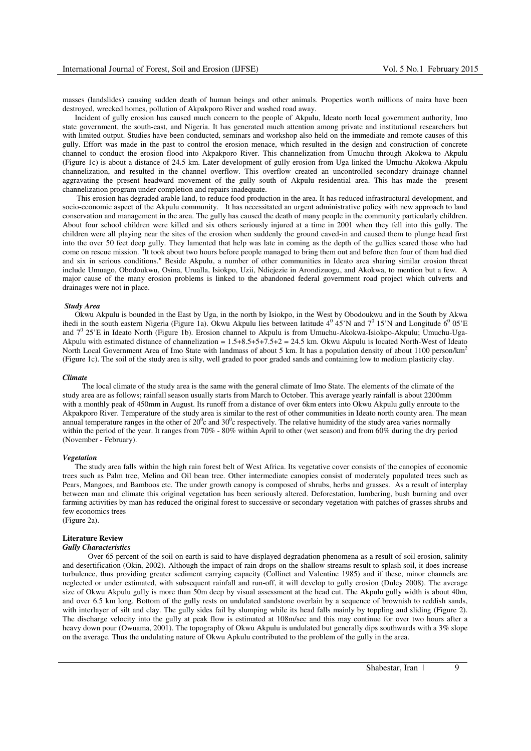masses (landslides) causing sudden death of human beings and other animals. Properties worth millions of naira have been destroyed, wrecked homes, pollution of Akpakporo River and washed road away.

Incident of gully erosion has caused much concern to the people of Akpulu, Ideato north local government authority, Imo state government, the south-east, and Nigeria. It has generated much attention among private and institutional researchers but with limited output. Studies have been conducted, seminars and workshop also held on the immediate and remote causes of this gully. Effort was made in the past to control the erosion menace, which resulted in the design and construction of concrete channel to conduct the erosion flood into Akpakporo River. This channelization from Umuchu through Akokwa to Akpulu (Figure 1c) is about a distance of 24.5 km. Later development of gully erosion from Uga linked the Umuchu-Akokwa-Akpulu channelization, and resulted in the channel overflow. This overflow created an uncontrolled secondary drainage channel aggravating the present headward movement of the gully south of Akpulu residential area. This has made the present channelization program under completion and repairs inadequate.

 This erosion has degraded arable land, to reduce food production in the area. It has reduced infrastructural development, and socio-economic aspect of the Akpulu community. It has necessitated an urgent administrative policy with new approach to land conservation and management in the area. The gully has caused the death of many people in the community particularly children. About four school children were killed and six others seriously injured at a time in 2001 when they fell into this gully. The children were all playing near the sites of the erosion when suddenly the ground caved-in and caused them to plunge head first into the over 50 feet deep gully. They lamented that help was late in coming as the depth of the gullies scared those who had come on rescue mission. "It took about two hours before people managed to bring them out and before then four of them had died and six in serious conditions." Beside Akpulu, a number of other communities in Ideato area sharing similar erosion threat include Umuago, Obodoukwu, Osina, Urualla, Isiokpo, Uzii, Ndiejezie in Arondizuogu, and Akokwa, to mention but a few. A major cause of the many erosion problems is linked to the abandoned federal government road project which culverts and drainages were not in place.

#### *Study Area*

Okwu Akpulu is bounded in the East by Uga, in the north by Isiokpo, in the West by Obodoukwu and in the South by Akwa ihedi in the south eastern Nigeria (Figure 1a). Okwu Akpulu lies between latitude  $4^0$  45'N and  $7^0$  15'N and Longitude  $6^0$  05'E and 7<sup>0</sup> 25'E in Ideato North (Figure 1b). Erosion channel to Akpulu is from Umuchu-Akokwa-Isiokpo-Akpulu; Umuchu-Uga-Akpulu with estimated distance of channelization =  $1.5+8.5+5+7.5+2 = 24.5$  km. Okwu Akpulu is located North-West of Ideato North Local Government Area of Imo State with landmass of about 5 km. It has a population density of about 1100 person/km<sup>2</sup> (Figure 1c). The soil of the study area is silty, well graded to poor graded sands and containing low to medium plasticity clay.

#### *Climate*

 The local climate of the study area is the same with the general climate of Imo State. The elements of the climate of the study area are as follows; rainfall season usually starts from March to October. This average yearly rainfall is about 2200mm with a monthly peak of 450mm in August. Its runoff from a distance of over 6km enters into Okwu Akpulu gully enroute to the Akpakporo River. Temperature of the study area is similar to the rest of other communities in Ideato north county area. The mean annual temperature ranges in the other of  $20^0c$  and  $30^0c$  respectively. The relative humidity of the study area varies normally within the period of the year. It ranges from 70% - 80% within April to other (wet season) and from 60% during the dry period (November - February).

## *Vegetation*

The study area falls within the high rain forest belt of West Africa. Its vegetative cover consists of the canopies of economic trees such as Palm tree, Melina and Oil bean tree. Other intermediate canopies consist of moderately populated trees such as Pears, Mangoes, and Bamboos etc. The under growth canopy is composed of shrubs, herbs and grasses. As a result of interplay between man and climate this original vegetation has been seriously altered. Deforestation, lumbering, bush burning and over farming activities by man has reduced the original forest to successive or secondary vegetation with patches of grasses shrubs and few economics trees

# (Figure 2a).

## **Literature Review**

#### *Gully Characteristics*

 Over 65 percent of the soil on earth is said to have displayed degradation phenomena as a result of soil erosion, salinity and desertification (Okin, 2002). Although the impact of rain drops on the shallow streams result to splash soil, it does increase turbulence, thus providing greater sediment carrying capacity (Collinet and Valentine 1985) and if these, minor channels are neglected or under estimated, with subsequent rainfall and run-off, it will develop to gully erosion (Duley 2008). The average size of Okwu Akpulu gully is more than 50m deep by visual assessment at the head cut. The Akpulu gully width is about 40m, and over 6.5 km long. Bottom of the gully rests on undulated sandstone overlain by a sequence of brownish to reddish sands, with interlayer of silt and clay. The gully sides fail by slumping while its head falls mainly by toppling and sliding (Figure 2). The discharge velocity into the gully at peak flow is estimated at 108m/sec and this may continue for over two hours after a heavy down pour (Owuama, 2001). The topography of Okwu Akpulu is undulated but generally dips southwards with a 3% slope on the average. Thus the undulating nature of Okwu Apkulu contributed to the problem of the gully in the area.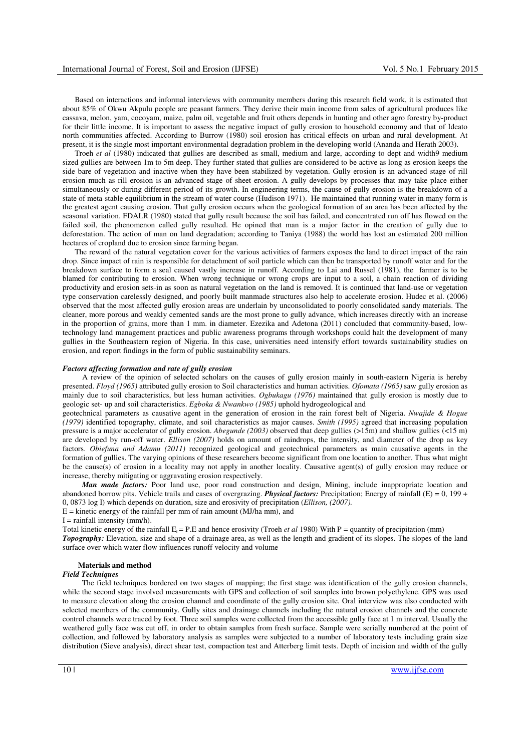Based on interactions and informal interviews with community members during this research field work, it is estimated that about 85% of Okwu Akpulu people are peasant farmers. They derive their main income from sales of agricultural produces like cassava, melon, yam, cocoyam, maize, palm oil, vegetable and fruit others depends in hunting and other agro forestry by-product for their little income. It is important to assess the negative impact of gully erosion to household economy and that of Ideato north communities affected. According to Burrow (1980) soil erosion has critical effects on urban and rural development. At present, it is the single most important environmental degradation problem in the developing world (Ananda and Herath 2003).

Troeh *et al* (1980) indicated that gullies are described as small, medium and large, according to dept and width9 medium sized gullies are between 1m to 5m deep. They further stated that gullies are considered to be active as long as erosion keeps the side bare of vegetation and inactive when they have been stabilized by vegetation. Gully erosion is an advanced stage of rill erosion much as rill erosion is an advanced stage of sheet erosion. A gully develops by processes that may take place either simultaneously or during different period of its growth. In engineering terms, the cause of gully erosion is the breakdown of a state of meta-stable equilibrium in the stream of water course (Hudison 1971). He maintained that running water in many form is the greatest agent causing erosion. That gully erosion occurs when the geological formation of an area has been affected by the seasonal variation. FDALR (1980) stated that gully result because the soil has failed, and concentrated run off has flowed on the failed soil, the phenomenon called gully resulted. He opined that man is a major factor in the creation of gully due to deforestation. The action of man on land degradation; according to Taniya (1988) the world has lost an estimated 200 million hectares of cropland due to erosion since farming began.

The reward of the natural vegetation cover for the various activities of farmers exposes the land to direct impact of the rain drop. Since impact of rain is responsible for detachment of soil particle which can then be transported by runoff water and for the breakdown surface to form a seal caused vastly increase in runoff. According to Lai and Russel (1981), the farmer is to be blamed for contributing to erosion. When wrong technique or wrong crops are input to a soil, a chain reaction of dividing productivity and erosion sets-in as soon as natural vegetation on the land is removed. It is continued that land-use or vegetation type conservation carelessly designed, and poorly built manmade structures also help to accelerate erosion. Hudec et al. (2006) observed that the most affected gully erosion areas are underlain by unconsolidated to poorly consolidated sandy materials. The cleaner, more porous and weakly cemented sands are the most prone to gully advance, which increases directly with an increase in the proportion of grains, more than 1 mm. in diameter. Ezezika and Adetona (2011) concluded that community-based, lowtechnology land management practices and public awareness programs through workshops could halt the development of many gullies in the Southeastern region of Nigeria. In this case, universities need intensify effort towards sustainability studies on erosion, and report findings in the form of public sustainability seminars.

## *Factors affecting formation and rate of gully erosion*

 A review of the opinion of selected scholars on the causes of gully erosion mainly in south-eastern Nigeria is hereby presented. *Floyd (1965)* attributed gully erosion to Soil characteristics and human activities. *Ofomata (1965)* saw gully erosion as mainly due to soil characteristics, but less human activities. *Ogbukagu (1976)* maintained that gully erosion is mostly due to geologic set- up and soil characteristics. *Egboka & Nwankwo (1985)* uphold hydrogeological and

geotechnical parameters as causative agent in the generation of erosion in the rain forest belt of Nigeria. *Nwajide & Hogue (1979)* identified topography, climate, and soil characteristics as major causes. *Smith (1995)* agreed that increasing population pressure is a major accelerator of gully erosion. *Abegunde (2003)* observed that deep gullies (>15m) and shallow gullies (<15 m) are developed by run-off water. *Ellison (2007)* holds on amount of raindrops, the intensity, and diameter of the drop as key factors. *Obiefuna and Adamu (2011)* recognized geological and geotechnical parameters as main causative agents in the formation of gullies. The varying opinions of these researchers become significant from one location to another. Thus what might be the cause(s) of erosion in a locality may not apply in another locality. Causative agent(s) of gully erosion may reduce or increase, thereby mitigating or aggravating erosion respectively.

 *Man made factors:* Poor land use, poor road construction and design, Mining, include inappropriate location and abandoned borrow pits. Vehicle trails and cases of overgrazing. *Physical factors:* Precipitation; Energy of rainfall (E) = 0, 199 + 0, 0873 log I) which depends on duration, size and erosivity of precipitation (*Ellison, (2007).*  $E =$  kinetic energy of the rainfall per mm of rain amount (MJ/ha mm), and

 $I =$ rainfall intensity (mm/h).

Total kinetic energy of the rainfall  $E_t$  = P.E and hence erosivity (Troeh *et al* 1980) With P = quantity of precipitation (mm) *Topography:* Elevation, size and shape of a drainage area, as well as the length and gradient of its slopes. The slopes of the land surface over which water flow influences runoff velocity and volume

#### **Materials and method**

#### *Field Techniques*

 The field techniques bordered on two stages of mapping; the first stage was identification of the gully erosion channels, while the second stage involved measurements with GPS and collection of soil samples into brown polyethylene. GPS was used to measure elevation along the erosion channel and coordinate of the gully erosion site. Oral interview was also conducted with selected members of the community. Gully sites and drainage channels including the natural erosion channels and the concrete control channels were traced by foot. Three soil samples were collected from the accessible gully face at 1 m interval. Usually the weathered gully face was cut off, in order to obtain samples from fresh surface. Sample were serially numbered at the point of collection, and followed by laboratory analysis as samples were subjected to a number of laboratory tests including grain size distribution (Sieve analysis), direct shear test, compaction test and Atterberg limit tests. Depth of incision and width of the gully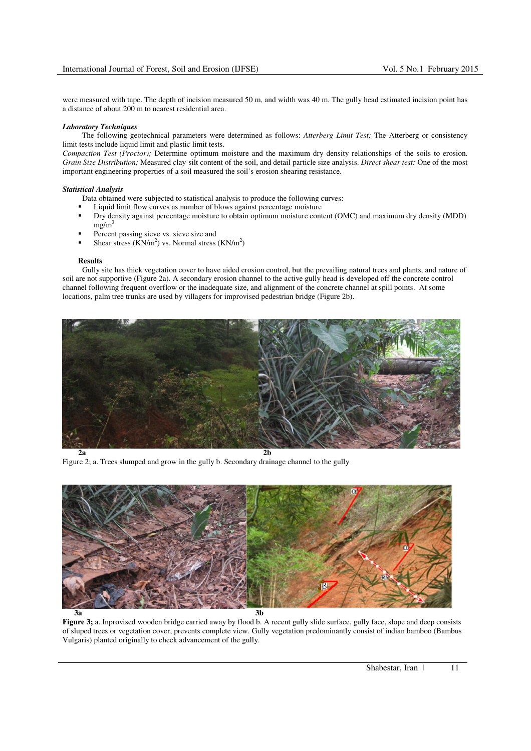were measured with tape. The depth of incision measured 50 m, and width was 40 m. The gully head estimated incision point has a distance of about 200 m to nearest residential area.

#### *Laboratory Techniques*

The following geotechnical parameters were determined as follows: *Atterberg Limit Test;* The Atterberg or consistency limit tests include liquid limit and plastic limit tests.

*Compaction Test (Proctor);* Determine optimum moisture and the maximum dry density relationships of the soils to erosion. *Grain Size Distribution;* Measured clay-silt content of the soil, and detail particle size analysis. *Direct shear test:* One of the most important engineering properties of a soil measured the soil's erosion shearing resistance.

## *Statistical Analysis*

Data obtained were subjected to statistical analysis to produce the following curves:

- Liquid limit flow curves as number of blows against percentage moisture
- Dry density against percentage moisture to obtain optimum moisture content (OMC) and maximum dry density (MDD)  $mg/m<sup>3</sup>$
- Percent passing sieve vs. sieve size and
- Shear stress  $(KN/m^2)$  vs. Normal stress  $(KN/m^2)$

#### **Results**

 Gully site has thick vegetation cover to have aided erosion control, but the prevailing natural trees and plants, and nature of soil are not supportive (Figure 2a). A secondary erosion channel to the active gully head is developed off the concrete control channel following frequent overflow or the inadequate size, and alignment of the concrete channel at spill points. At some locations, palm tree trunks are used by villagers for improvised pedestrian bridge (Figure 2b).



Figure 2; a. Trees slumped and grow in the gully b. Secondary drainage channel to the gully



**Figure 3;** a. Inprovised wooden bridge carried away by flood b. A recent gully slide surface, gully face, slope and deep consists of sluped trees or vegetation cover, prevents complete view. Gully vegetation predominantly consist of indian bamboo (Bambus Vulgaris) planted originally to check advancement of the gully.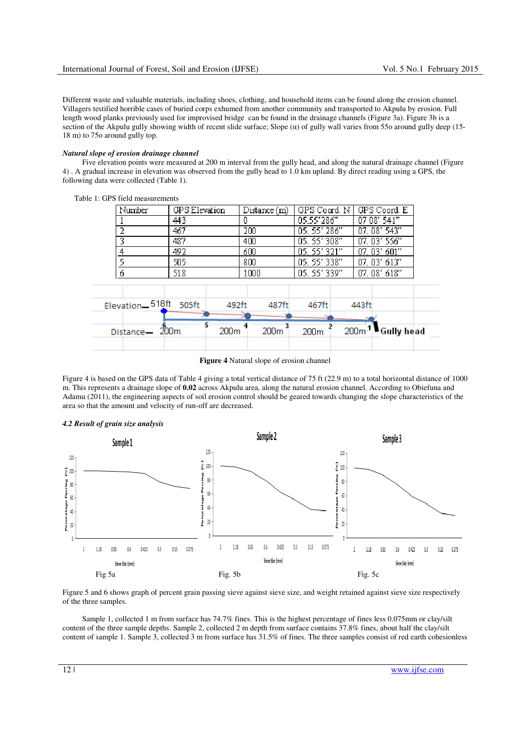Different waste and valuable materials, including shoes, clothing, and household items can be found along the erosion channel. Villagers testified horrible cases of buried corps exhumed from another community and transported to Akpulu by erosion. Full length wood planks previously used for improvised bridge can be found in the drainage channels (Figure 3a). Figure 3b is a section of the Akpulu gully showing width of recent slide surface; Slope  $(\alpha)$  of gully wall varies from 550 around gully deep (15-18 m) to 75o around gully top.

## *Natural slope of erosion drainage channel*

 Five elevation points were measured at 200 m interval from the gully head, and along the natural drainage channel (Figure 4) . A gradual increase in elevation was observed from the gully head to 1.0 km upland. By direct reading using a GPS, the following data were collected (Table 1).



Table 1: GPS field measurements

**Figure 4** Natural slope of erosion channel

Figure 4 is based on the GPS data of Table 4 giving a total vertical distance of 75 ft (22.9 m) to a total horizontal distance of 1000 m. This represents a drainage slope of **0.02** across Akpulu area, along the natural erosion channel. According to Obiefuna and Adamu (2011), the engineering aspects of soil erosion control should be geared towards changing the slope characteristics of the area so that the amount and velocity of run-off are decreased.



Figure 5 and 6 shows graph of percent grain passing sieve against sieve size, and weight retained against sieve size respectively of the three samples.

 Sample 1, collected 1 m from surface has 74.7% fines. This is the highest percentage of fines less 0.075mm or clay/silt content of the three sample depths. Sample 2, collected 2 m depth from surface contains 37.8% fines, about half the clay/silt content of sample 1. Sample 3, collected 3 m from surface has 31.5% of fines. The three samples consist of red earth cohesionless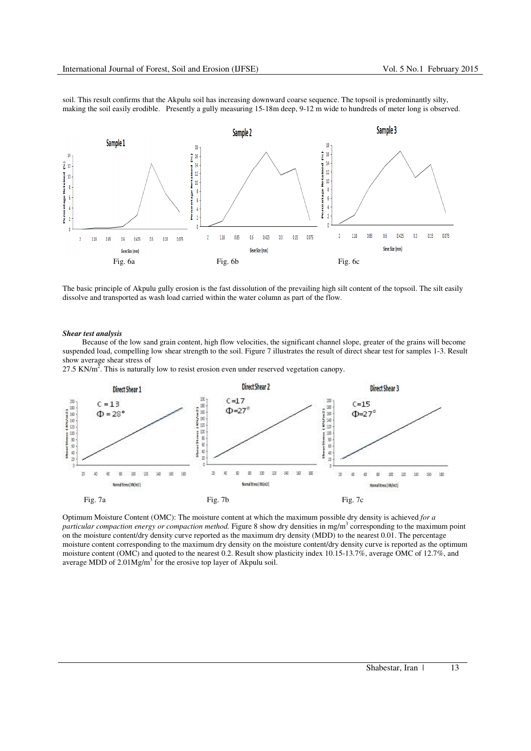soil. This result confirms that the Akpulu soil has increasing downward coarse sequence. The topsoil is predominantly silty, making the soil easily erodible. Presently a gully measuring 15-18m deep, 9-12 m wide to hundreds of meter long is observed.



The basic principle of Akpulu gully erosion is the fast dissolution of the prevailing high silt content of the topsoil. The silt easily dissolve and transported as wash load carried within the water column as part of the flow.

#### *Shear test analysis*

 Because of the low sand grain content, high flow velocities, the significant channel slope, greater of the grains will become suspended load, compelling low shear strength to the soil. Figure 7 illustrates the result of direct shear test for samples 1-3. Result show average shear stress of

27.5 KN/ $m^2$ . This is naturally low to resist erosion even under reserved vegetation canopy.



Optimum Moisture Content (OMC): The moisture content at which the maximum possible dry density is achieved *for a*  particular compaction energy or compaction method. Figure 8 show dry densities in mg/m<sup>3</sup> corresponding to the maximum point on the moisture content/dry density curve reported as the maximum dry density (MDD) to the nearest 0.01. The percentage moisture content corresponding to the maximum dry density on the moisture content/dry density curve is reported as the optimum moisture content (OMC) and quoted to the nearest 0.2. Result show plasticity index 10.15-13.7%, average OMC of 12.7%, and average MDD of  $2.01Mg/m<sup>3</sup>$  for the erosive top layer of Akpulu soil.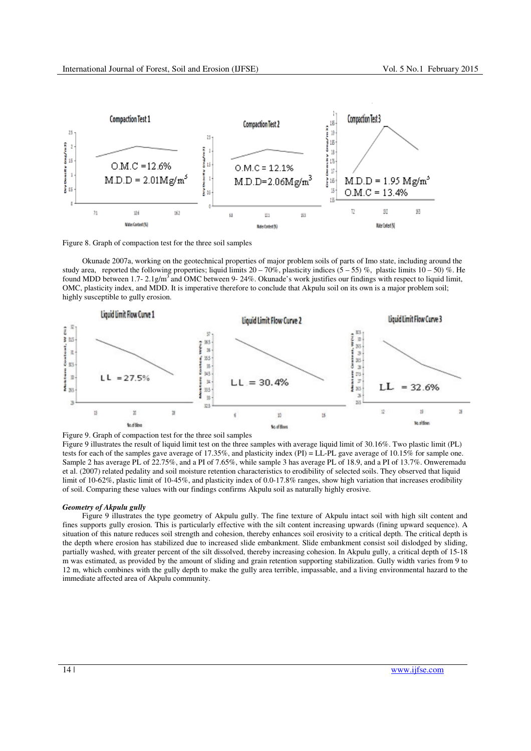

Figure 8. Graph of compaction test for the three soil samples

 Okunade 2007a, working on the geotechnical properties of major problem soils of parts of Imo state, including around the study area, reported the following properties; liquid limits  $20 - 70\%$ , plasticity indices (5 – 55) %, plastic limits 10 – 50) %. He found MDD between 1.7- 2.1g/m<sup>3</sup> and OMC between 9- 24%. Okunade's work justifies our findings with respect to liquid limit, OMC, plasticity index, and MDD. It is imperative therefore to conclude that Akpulu soil on its own is a major problem soil; highly susceptible to gully erosion.



Figure 9 illustrates the result of liquid limit test on the three samples with average liquid limit of 30.16%. Two plastic limit (PL) tests for each of the samples gave average of 17.35%, and plasticity index (PI) = LL-PL gave average of 10.15% for sample one. Sample 2 has average PL of 22.75%, and a PI of 7.65%, while sample 3 has average PL of 18.9, and a PI of 13.7%. Onweremadu et al. (2007) related pedality and soil moisture retention characteristics to erodibility of selected soils. They observed that liquid limit of 10-62%, plastic limit of 10-45%, and plasticity index of 0.0-17.8% ranges, show high variation that increases erodibility of soil. Comparing these values with our findings confirms Akpulu soil as naturally highly erosive.

#### *Geometry of Akpulu gully*

 Figure 9 illustrates the type geometry of Akpulu gully. The fine texture of Akpulu intact soil with high silt content and fines supports gully erosion. This is particularly effective with the silt content increasing upwards (fining upward sequence). A situation of this nature reduces soil strength and cohesion, thereby enhances soil erosivity to a critical depth. The critical depth is the depth where erosion has stabilized due to increased slide embankment. Slide embankment consist soil dislodged by sliding, partially washed, with greater percent of the silt dissolved, thereby increasing cohesion. In Akpulu gully, a critical depth of 15-18 m was estimated, as provided by the amount of sliding and grain retention supporting stabilization. Gully width varies from 9 to 12 m, which combines with the gully depth to make the gully area terrible, impassable, and a living environmental hazard to the immediate affected area of Akpulu community.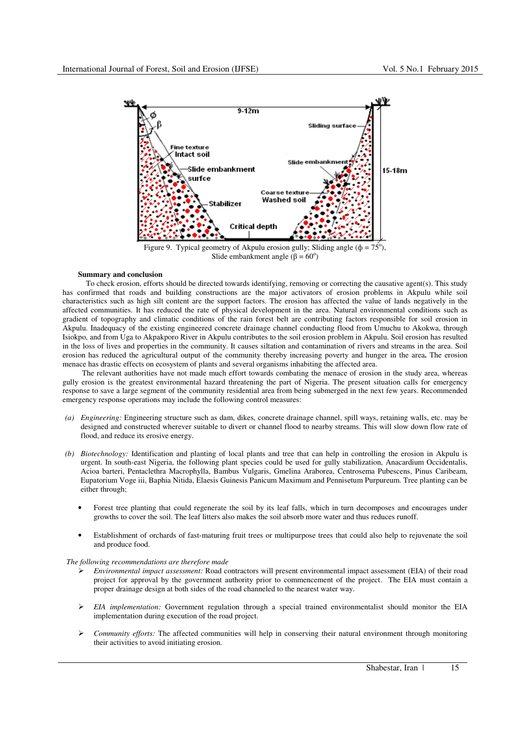

Slide embankment angle  $(\beta = 60^{\circ})$ 

### **Summary and conclusion**

To check erosion, efforts should be directed towards identifying, removing or correcting the causative agent(s). This study has confirmed that roads and building constructions are the major activators of erosion problems in Akpulu while soil characteristics such as high silt content are the support factors. The erosion has affected the value of lands negatively in the affected communities. It has reduced the rate of physical development in the area. Natural environmental conditions such as gradient of topography and climatic conditions of the rain forest belt are contributing factors responsible for soil erosion in Akpulu. Inadequacy of the existing engineered concrete drainage channel conducting flood from Umuchu to Akokwa, through Isiokpo, and from Uga to Akpakporo River in Akpulu contributes to the soil erosion problem in Akpulu. Soil erosion has resulted in the loss of lives and properties in the community. It causes siltation and contamination of rivers and streams in the area. Soil erosion has reduced the agricultural output of the community thereby increasing poverty and hunger in the area**.** The erosion menace has drastic effects on ecosystem of plants and several organisms inhabiting the affected area.

 The relevant authorities have not made much effort towards combating the menace of erosion in the study area, whereas gully erosion is the greatest environmental hazard threatening the part of Nigeria. The present situation calls for emergency response to save a large segment of the community residential area from being submerged in the next few years. Recommended emergency response operations may include the following control measures:

- *(a) Engineering:* Engineering structure such as dam, dikes, concrete drainage channel, spill ways, retaining walls, etc. may be designed and constructed wherever suitable to divert or channel flood to nearby streams. This will slow down flow rate of flood, and reduce its erosive energy.
- *(b) Biotechnology:* Identification and planting of local plants and tree that can help in controlling the erosion in Akpulu is urgent. In south-east Nigeria, the following plant species could be used for gully stabilization, Anacardium Occidentalis, Acioa barteri, Pentaclethra Macrophylla, Bambus Vulgaris, Gmelina Araborea, Centrosema Pubescens, Pinus Caribeam, Eupatorium Voge iii, Baphia Nitida, Elaesis Guinesis Panicum Maximum and Pennisetum Purpureum. Tree planting can be either through;
	- Forest tree planting that could regenerate the soil by its leaf falls, which in turn decomposes and encourages under growths to cover the soil. The leaf litters also makes the soil absorb more water and thus reduces runoff.
	- Establishment of orchards of fast-maturing fruit trees or multipurpose trees that could also help to rejuvenate the soil and produce food.

#### *The following recommendations are therefore made*

- *Environmental impact assessment:* Road contractors will present environmental impact assessment (EIA) of their road project for approval by the government authority prior to commencement of the project. The EIA must contain a proper drainage design at both sides of the road channeled to the nearest water way.
- *EIA implementation:* Government regulation through a special trained environmentalist should monitor the EIA implementation during execution of the road project.
- *Community efforts:* The affected communities will help in conserving their natural environment through monitoring their activities to avoid initiating erosion.